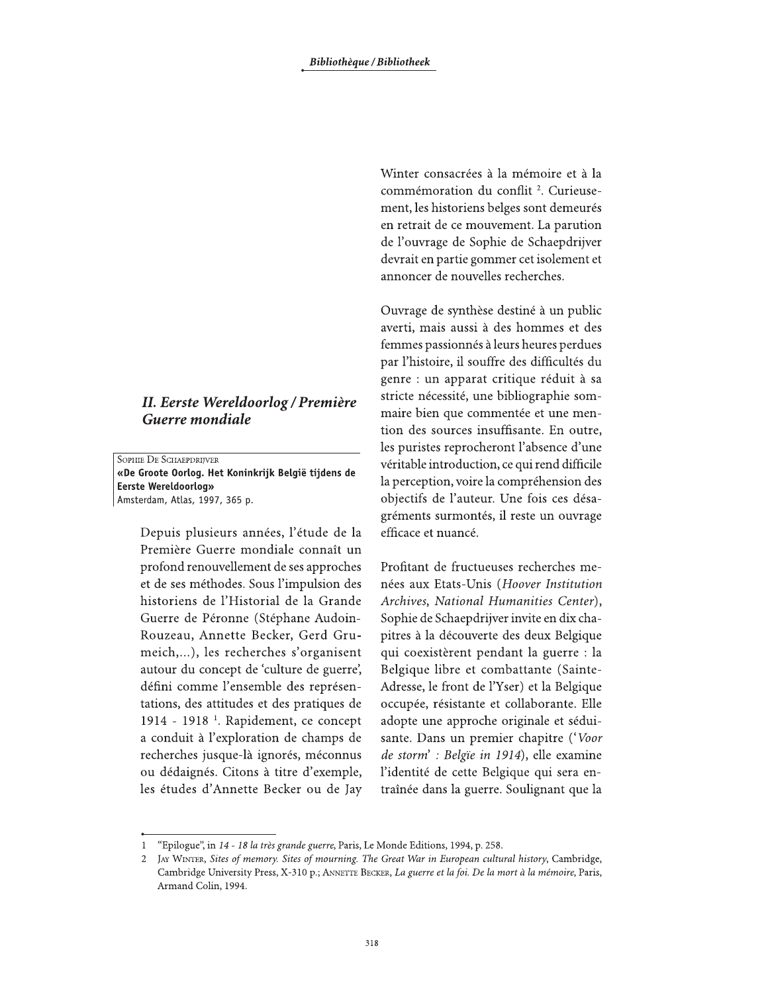## II. Eerste Wereldoorlog / Première Guerre mondiale

SOPHIE DE SCHAEPDRIJVER «De Groote Oorlog. Het Koninkrijk België tijdens de **Eerste Wereldoorlog»** Amsterdam, Atlas, 1997, 365 p.

> Depuis plusieurs années, l'étude de la Première Guerre mondiale connaît un profond renouvellement de ses approches et de ses méthodes. Sous l'impulsion des historiens de l'Historial de la Grande Guerre de Péronne (Stéphane Audoin-Rouzeau, Annette Becker, Gerd Grumeich,...), les recherches s'organisent autour du concept de 'culture de guerre', défini comme l'ensemble des représentations, des attitudes et des pratiques de 1914 - 1918<sup>-1</sup>. Rapidement, ce concept a conduit à l'exploration de champs de recherches jusque-là ignorés, méconnus ou dédaignés. Citons à titre d'exemple, les études d'Annette Becker ou de Jay

Winter consacrées à la mémoire et à la commémoration du conflit<sup>2</sup>. Curieusement, les historiens belges sont demeurés en retrait de ce mouvement. La parution de l'ouvrage de Sophie de Schaepdrijver devrait en partie gommer cet isolement et annoncer de nouvelles recherches.

Ouvrage de synthèse destiné à un public averti, mais aussi à des hommes et des femmes passionnés à leurs heures perdues par l'histoire, il souffre des difficultés du genre : un apparat critique réduit à sa stricte nécessité, une bibliographie sommaire bien que commentée et une mention des sources insuffisante. En outre, les puristes reprocheront l'absence d'une véritable introduction, ce qui rend difficile la perception, voire la compréhension des objectifs de l'auteur. Une fois ces désagréments surmontés, il reste un ouvrage efficace et nuancé.

Profitant de fructueuses recherches menées aux Etats-Unis (Hoover Institution Archives, National Humanities Center), Sophie de Schaepdrijver invite en dix chapitres à la découverte des deux Belgique qui coexistèrent pendant la guerre : la Belgique libre et combattante (Sainte-Adresse, le front de l'Yser) et la Belgique occupée, résistante et collaborante. Elle adopte une approche originale et séduisante. Dans un premier chapitre ('Voor de storm': Belgie in 1914), elle examine l'identité de cette Belgique qui sera entraînée dans la guerre. Soulignant que la

<sup>&</sup>quot;Epilogue", in 14 - 18 la très grande guerre, Paris, Le Monde Editions, 1994, p. 258.

JAY WINTER, Sites of memory. Sites of mourning. The Great War in European cultural history, Cambridge, Cambridge University Press, X-310 p.; ANNETTE BECKER, La guerre et la foi. De la mort à la mémoire, Paris, Armand Colin, 1994.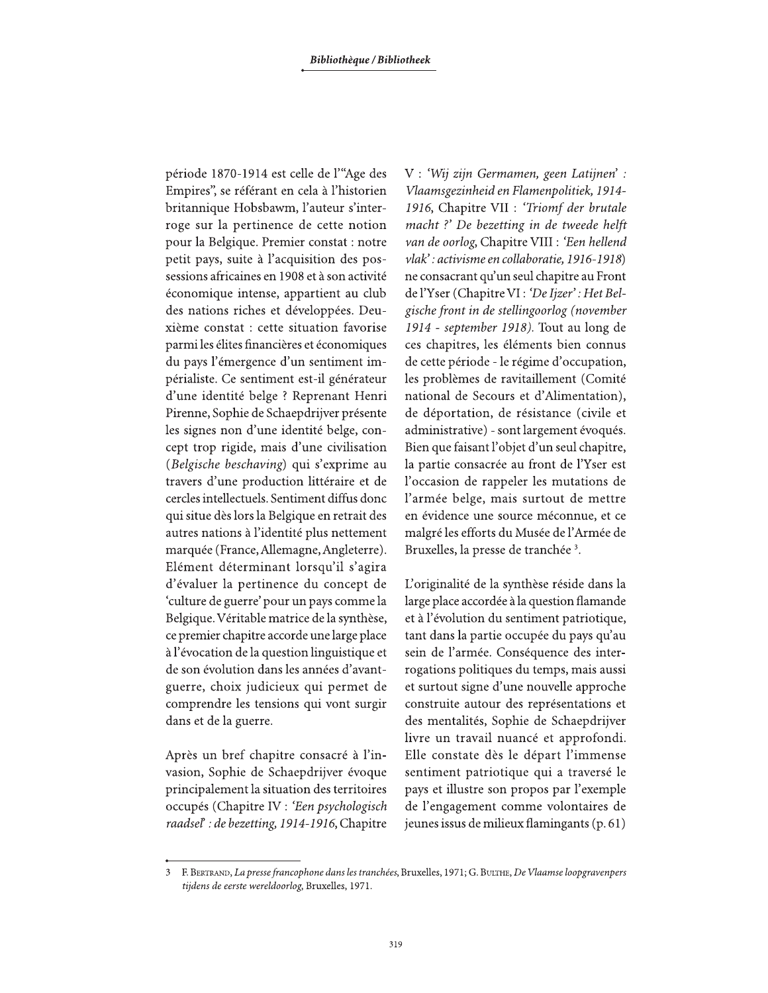période 1870-1914 est celle de l'"Age des Empires", se référant en cela à l'historien britannique Hobsbawm, l'auteur s'interroge sur la pertinence de cette notion pour la Belgique. Premier constat : notre petit pays, suite à l'acquisition des possessions africaines en 1908 et à son activité économique intense, appartient au club des nations riches et développées. Deuxième constat : cette situation favorise parmi les élites financières et économiques du pays l'émergence d'un sentiment impérialiste. Ce sentiment est-il générateur d'une identité belge ? Reprenant Henri Pirenne, Sophie de Schaepdrijver présente les signes non d'une identité belge, concept trop rigide, mais d'une civilisation (Belgische beschaving) qui s'exprime au travers d'une production littéraire et de cercles intellectuels. Sentiment diffus donc qui situe dès lors la Belgique en retrait des autres nations à l'identité plus nettement marquée (France, Allemagne, Angleterre). Elément déterminant lorsqu'il s'agira d'évaluer la pertinence du concept de 'culture de guerre' pour un pays comme la Belgique. Véritable matrice de la synthèse, ce premier chapitre accorde une large place à l'évocation de la question linguistique et de son évolution dans les années d'avantguerre, choix judicieux qui permet de comprendre les tensions qui vont surgir dans et de la guerre.

Après un bref chapitre consacré à l'invasion, Sophie de Schaepdrijver évoque principalement la situation des territoires occupés (Chapitre IV : 'Een psychologisch raadsel': de bezetting, 1914-1916, Chapitre

V: 'Wij zijn Germamen, geen Latijnen': Vlaamsgezinheid en Flamenpolitiek, 1914-1916, Chapitre VII : 'Triomf der brutale macht ?' De bezetting in de tweede helft van de oorlog, Chapitre VIII : 'Een hellend vlak': activisme en collaboratie, 1916-1918) ne consacrant qu'un seul chapitre au Front de l'Yser (Chapitre VI : 'De Ijzer' : Het Belgische front in de stellingoorlog (november 1914 - september 1918). Tout au long de ces chapitres, les éléments bien connus de cette période - le régime d'occupation, les problèmes de ravitaillement (Comité national de Secours et d'Alimentation), de déportation, de résistance (civile et administrative) - sont largement évoqués. Bien que faisant l'objet d'un seul chapitre, la partie consacrée au front de l'Yser est l'occasion de rappeler les mutations de l'armée belge, mais surtout de mettre en évidence une source méconnue, et ce malgré les efforts du Musée de l'Armée de Bruxelles, la presse de tranchée<sup>3</sup>.

L'originalité de la synthèse réside dans la large place accordée à la question flamande et à l'évolution du sentiment patriotique, tant dans la partie occupée du pays qu'au sein de l'armée. Conséquence des interrogations politiques du temps, mais aussi et surtout signe d'une nouvelle approche construite autour des représentations et des mentalités, Sophie de Schaepdrijver livre un travail nuancé et approfondi. Elle constate dès le départ l'immense sentiment patriotique qui a traversé le pays et illustre son propos par l'exemple de l'engagement comme volontaires de jeunes issus de milieux flamingants (p. 61)

F. BERTRAND, La presse francophone dans les tranchées, Bruxelles, 1971; G. BULTHE, De Vlaamse loopgravenpers 3 tijdens de eerste wereldoorlog, Bruxelles, 1971.